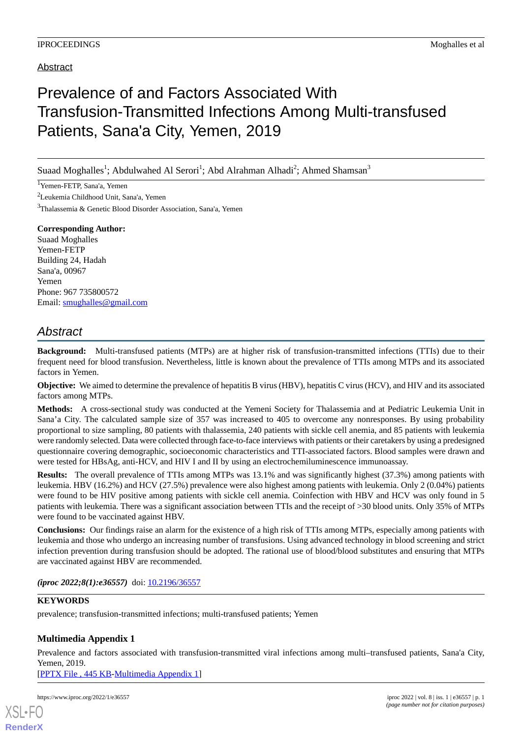## Abstract

# Prevalence of and Factors Associated With Transfusion-Transmitted Infections Among Multi-transfused Patients, Sana'a City, Yemen, 2019

Suaad Moghalles<sup>1</sup>; Abdulwahed Al Serori<sup>1</sup>; Abd Alrahman Alhadi<sup>2</sup>; Ahmed Shamsan<sup>3</sup>

<sup>1</sup>Yemen-FETP, Sana'a, Yemen

<sup>2</sup>Leukemia Childhood Unit, Sana'a, Yemen

<sup>3</sup>Thalassemia & Genetic Blood Disorder Association, Sana'a, Yemen

### **Corresponding Author:**

Suaad Moghalles Yemen-FETP Building 24, Hadah Sana'a, 00967 Yemen Phone: 967 735800572 Email: [smughalles@gmail.com](mailto:smughalles@gmail.com)

# *Abstract*

**Background:** Multi-transfused patients (MTPs) are at higher risk of transfusion-transmitted infections (TTIs) due to their frequent need for blood transfusion. Nevertheless, little is known about the prevalence of TTIs among MTPs and its associated factors in Yemen.

**Objective:** We aimed to determine the prevalence of hepatitis B virus (HBV), hepatitis C virus (HCV), and HIV and its associated factors among MTPs.

**Methods:** A cross-sectional study was conducted at the Yemeni Society for Thalassemia and at Pediatric Leukemia Unit in Sana'a City. The calculated sample size of 357 was increased to 405 to overcome any nonresponses. By using probability proportional to size sampling, 80 patients with thalassemia, 240 patients with sickle cell anemia, and 85 patients with leukemia were randomly selected. Data were collected through face-to-face interviews with patients or their caretakers by using a predesigned questionnaire covering demographic, socioeconomic characteristics and TTI-associated factors. Blood samples were drawn and were tested for HBsAg, anti-HCV, and HIV I and II by using an electrochemiluminescence immunoassay.

**Results:** The overall prevalence of TTIs among MTPs was 13.1% and was significantly highest (37.3%) among patients with leukemia. HBV (16.2%) and HCV (27.5%) prevalence were also highest among patients with leukemia. Only 2 (0.04%) patients were found to be HIV positive among patients with sickle cell anemia. Coinfection with HBV and HCV was only found in 5 patients with leukemia. There was a significant association between TTIs and the receipt of >30 blood units. Only 35% of MTPs were found to be vaccinated against HBV.

**Conclusions:** Our findings raise an alarm for the existence of a high risk of TTIs among MTPs, especially among patients with leukemia and those who undergo an increasing number of transfusions. Using advanced technology in blood screening and strict infection prevention during transfusion should be adopted. The rational use of blood/blood substitutes and ensuring that MTPs are vaccinated against HBV are recommended.

*(iproc 2022;8(1):e36557)* doi: [10.2196/36557](http://dx.doi.org/10.2196/36557)

### **KEYWORDS**

prevalence; transfusion-transmitted infections; multi-transfused patients; Yemen

### **Multimedia Appendix 1**

Prevalence and factors associated with transfusion-transmitted viral infections among multi–transfused patients, Sana'a City, Yemen, 2019.

[[PPTX File , 445 KB](https://jmir.org/api/download?alt_name=iproc_v8i1e36557_app1.pptx&filename=668e4dde6f2ffaafa46d828995694eee.pptx)-[Multimedia Appendix 1\]](https://jmir.org/api/download?alt_name=iproc_v8i1e36557_app1.pptx&filename=668e4dde6f2ffaafa46d828995694eee.pptx)

[XSL](http://www.w3.org/Style/XSL)•FO **[RenderX](http://www.renderx.com/)**